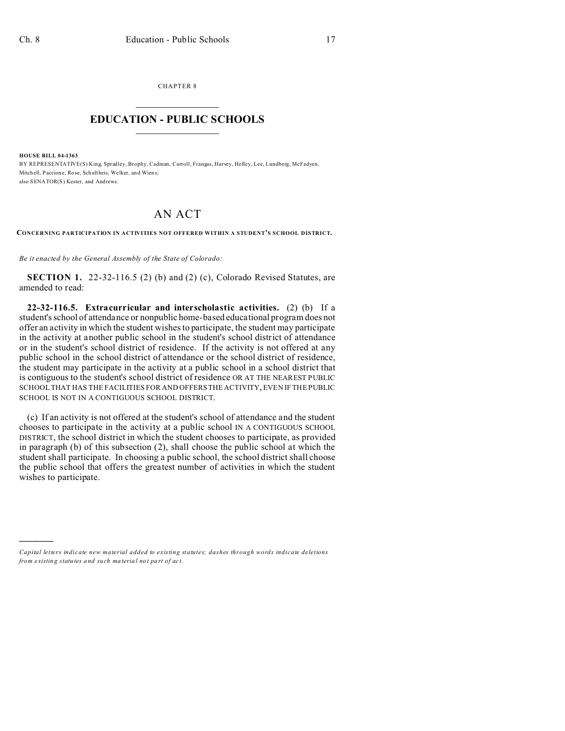CHAPTER 8  $\overline{\phantom{a}}$  , where  $\overline{\phantom{a}}$ 

## **EDUCATION - PUBLIC SCHOOLS**  $\_$   $\_$   $\_$   $\_$   $\_$   $\_$   $\_$   $\_$   $\_$

**HOUSE BILL 04-1363**

)))))

BY REPRESENTATIVE(S) King, Spradley, Brophy, Cadman, Carroll, Frangas, Harvey, Hefley, Lee, Lundberg, McFadyen, Mitch ell, Paccion e, Rose, Schultheis, Welker, an d Wien s; also SENATOR(S) Kester, and Andrews.

## AN ACT

**CONCERNING PARTICIPATION IN ACTIVITIES NOT OFFERED WITHIN A STUDENT'S SCHOOL DISTRICT.**

*Be it enacted by the General Assembly of the State of Colorado:*

**SECTION 1.** 22-32-116.5 (2) (b) and (2) (c), Colorado Revised Statutes, are amended to read:

**22-32-116.5. Extracurricular and interscholastic activities.** (2) (b) If a student's school of attendance or nonpublic home-based educational program does not offer an activity in which the student wishes to participate, the student may participate in the activity at another public school in the student's school district of attendance or in the student's school district of residence. If the activity is not offered at any public school in the school district of attendance or the school district of residence, the student may participate in the activity at a public school in a school district that is contiguous to the student's school district of residence OR AT THE NEAREST PUBLIC SCHOOL THAT HAS THE FACILITIES FOR AND OFFERS THE ACTIVITY, EVEN IF THE PUBLIC SCHOOL IS NOT IN A CONTIGUOUS SCHOOL DISTRICT.

(c) If an activity is not offered at the student's school of attendance and the student chooses to participate in the activity at a public school IN A CONTIGUOUS SCHOOL DISTRICT, the school district in which the student chooses to participate, as provided in paragraph (b) of this subsection (2), shall choose the public school at which the student shall participate. In choosing a public school, the school district shall choose the public school that offers the greatest number of activities in which the student wishes to participate.

*Capital letters indicate new material added to existing statutes; dashes through words indicate deletions from e xistin g statu tes a nd such ma teria l no t pa rt of ac t.*